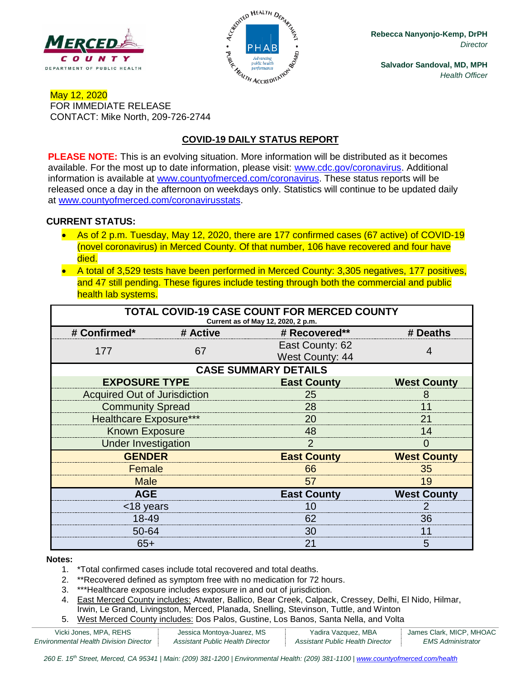



**Rebecca Nanyonjo-Kemp, DrPH** *Director*

**Salvador Sandoval, MD, MPH** *Health Officer*

## May 12, 2020 FOR IMMEDIATE RELEASE CONTACT: Mike North, 209-726-2744

# **COVID-19 DAILY STATUS REPORT**

**PLEASE NOTE:** This is an evolving situation. More information will be distributed as it becomes available. For the most up to date information, please visit: [www.cdc.gov/coronavirus.](http://www.cdc.gov/coronavirus) Additional information is available at [www.countyofmerced.com/coronavirus.](http://www.countyofmerced.com/coronavirus) These status reports will be released once a day in the afternoon on weekdays only. Statistics will continue to be updated daily at [www.countyofmerced.com/coronavirusstats.](http://www.countyofmerced.com/coronavirusstats)

## **CURRENT STATUS:**

- As of 2 p.m. Tuesday, May 12, 2020, there are 177 confirmed cases (67 active) of COVID-19 (novel coronavirus) in Merced County. Of that number, 106 have recovered and four have died.
- A total of 3,529 tests have been performed in Merced County: 3,305 negatives, 177 positives, and 47 still pending. These figures include testing through both the commercial and public health lab systems.

| TOTAL COVID-19 CASE COUNT FOR MERCED COUNTY<br>Current as of May 12, 2020, 2 p.m. |          |                                           |                    |  |  |
|-----------------------------------------------------------------------------------|----------|-------------------------------------------|--------------------|--|--|
| # Confirmed*                                                                      | # Active | # Recovered**                             | # Deaths           |  |  |
| 177                                                                               | 67       | East County: 62<br><b>West County: 44</b> |                    |  |  |
| <b>CASE SUMMARY DETAILS</b>                                                       |          |                                           |                    |  |  |
| <b>EXPOSURE TYPE</b>                                                              |          | <b>East County</b>                        | <b>West County</b> |  |  |
| <b>Acquired Out of Jurisdiction</b>                                               |          | 25                                        |                    |  |  |
| <b>Community Spread</b>                                                           |          | 28                                        |                    |  |  |
| <b>Healthcare Exposure***</b>                                                     |          | 20                                        | 21                 |  |  |
| <b>Known Exposure</b>                                                             |          | 48                                        | 14                 |  |  |
| <b>Under Investigation</b>                                                        |          | 2                                         | $\Omega$           |  |  |
| <b>GENDER</b>                                                                     |          | <b>East County</b>                        | <b>West County</b> |  |  |
| <b>Female</b>                                                                     |          | 66                                        | 35                 |  |  |
| <b>Male</b>                                                                       |          | 57                                        | 19                 |  |  |
| <b>AGE</b>                                                                        |          | <b>East County</b>                        | <b>West County</b> |  |  |
| <18 years                                                                         |          | 10                                        |                    |  |  |
| 18-49                                                                             |          | 62                                        | 36                 |  |  |
| 50-64                                                                             |          | 30                                        | 11                 |  |  |
| $65+$                                                                             |          | 21                                        | 5                  |  |  |

#### **Notes:**

- 1. \*Total confirmed cases include total recovered and total deaths.
- 2. \*\*Recovered defined as symptom free with no medication for 72 hours.
- 3. \*\*\*Healthcare exposure includes exposure in and out of jurisdiction.
- 4. East Merced County includes: Atwater, Ballico, Bear Creek, Calpack, Cressey, Delhi, El Nido, Hilmar, Irwin, Le Grand, Livingston, Merced, Planada, Snelling, Stevinson, Tuttle, and Winton
- 5. West Merced County includes: Dos Palos, Gustine, Los Banos, Santa Nella, and Volta

| Vicki Jones, MPA, REHS                 | Jessica Montoya-Juarez, MS       | Yadira Vazquez, MBA              | James Clark, MICP, MHOAC |
|----------------------------------------|----------------------------------|----------------------------------|--------------------------|
| Environmental Health Division Director | Assistant Public Health Director | Assistant Public Health Director | EMS Administrator        |

260 E. 15<sup>th</sup> Street, Merced, CA 95341 | Main: (209) 381-1200 | Environmental Health: (209) 381-1100 | [www.countyofmerced.com/health](http://www.countyofmerced.com/health)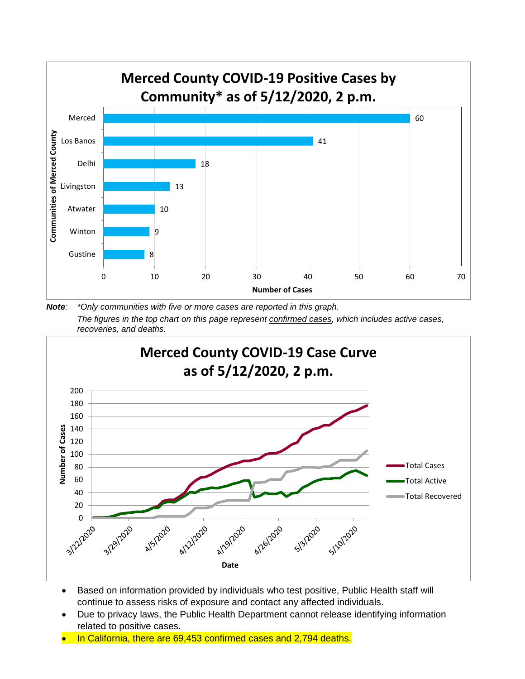

*Note: \*Only communities with five or more cases are reported in this graph. The figures in the top chart on this page represent confirmed cases, which includes active cases, recoveries, and deaths.*



- Based on information provided by individuals who test positive, Public Health staff will continue to assess risks of exposure and contact any affected individuals.
- Due to privacy laws, the Public Health Department cannot release identifying information related to positive cases.
- In California, there are 69,453 confirmed cases and 2,794 deaths.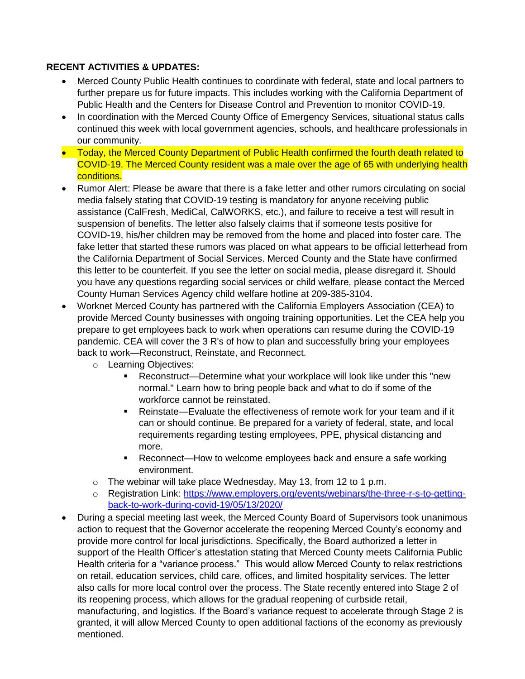### **RECENT ACTIVITIES & UPDATES:**

- Merced County Public Health continues to coordinate with federal, state and local partners to further prepare us for future impacts. This includes working with the California Department of Public Health and the Centers for Disease Control and Prevention to monitor COVID-19.
- In coordination with the Merced County Office of Emergency Services, situational status calls continued this week with local government agencies, schools, and healthcare professionals in our community.
- Today, the Merced County Department of Public Health confirmed the fourth death related to COVID-19. The Merced County resident was a male over the age of 65 with underlying health conditions.
- Rumor Alert: Please be aware that there is a fake letter and other rumors circulating on social media falsely stating that COVID-19 testing is mandatory for anyone receiving public assistance (CalFresh, MediCal, CalWORKS, etc.), and failure to receive a test will result in suspension of benefits. The letter also falsely claims that if someone tests positive for COVID-19, his/her children may be removed from the home and placed into foster care. The fake letter that started these rumors was placed on what appears to be official letterhead from the California Department of Social Services. Merced County and the State have confirmed this letter to be counterfeit. If you see the letter on social media, please disregard it. Should you have any questions regarding social services or child welfare, please contact the Merced County Human Services Agency child welfare hotline at 209-385-3104.
- Worknet Merced County has partnered with the California Employers Association (CEA) to provide Merced County businesses with ongoing training opportunities. Let the CEA help you prepare to get employees back to work when operations can resume during the COVID-19 pandemic. CEA will cover the 3 R's of how to plan and successfully bring your employees back to work—Reconstruct, Reinstate, and Reconnect.
	- o Learning Objectives:
		- Reconstruct—Determine what your workplace will look like under this "new normal." Learn how to bring people back and what to do if some of the workforce cannot be reinstated.
		- Reinstate—Evaluate the effectiveness of remote work for your team and if it can or should continue. Be prepared for a variety of federal, state, and local requirements regarding testing employees, PPE, physical distancing and more.
		- Reconnect—How to welcome employees back and ensure a safe working environment.
	- o The webinar will take place Wednesday, May 13, from 12 to 1 p.m.
	- o Registration Link: [https://www.employers.org/events/webinars/the-three-r-s-to-getting](https://www.employers.org/events/webinars/the-three-r-s-to-getting-back-to-work-during-covid-19/05/13/2020/)[back-to-work-during-covid-19/05/13/2020/](https://www.employers.org/events/webinars/the-three-r-s-to-getting-back-to-work-during-covid-19/05/13/2020/)
- During a special meeting last week, the Merced County Board of Supervisors took unanimous action to request that the Governor accelerate the reopening Merced County's economy and provide more control for local jurisdictions. Specifically, the Board authorized a letter in support of the Health Officer's attestation stating that Merced County meets California Public Health criteria for a "variance process." This would allow Merced County to relax restrictions on retail, education services, child care, offices, and limited hospitality services. The letter also calls for more local control over the process. The State recently entered into Stage 2 of its reopening process, which allows for the gradual reopening of curbside retail, manufacturing, and logistics. If the Board's variance request to accelerate through Stage 2 is granted, it will allow Merced County to open additional factions of the economy as previously mentioned.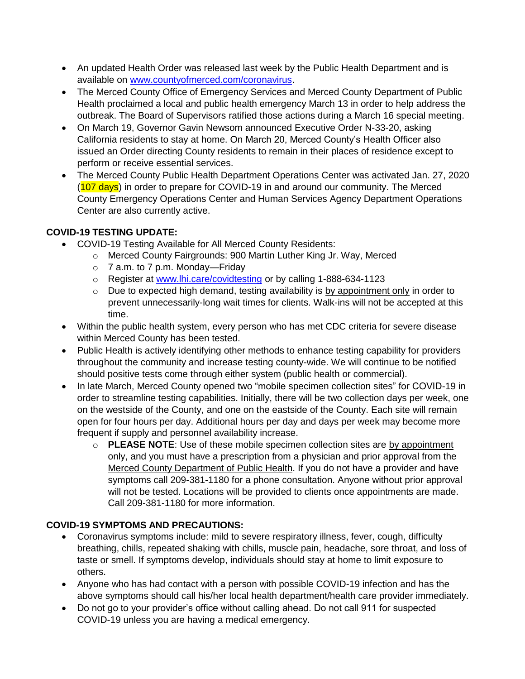- An updated Health Order was released last week by the Public Health Department and is available on [www.countyofmerced.com/coronavirus.](http://www.countyofmerced.com/coronavirus)
- The Merced County Office of Emergency Services and Merced County Department of Public Health proclaimed a local and public health emergency March 13 in order to help address the outbreak. The Board of Supervisors ratified those actions during a March 16 special meeting.
- On March 19, Governor Gavin Newsom announced Executive Order N-33-20, asking California residents to stay at home. On March 20, Merced County's Health Officer also issued an Order directing County residents to remain in their places of residence except to perform or receive essential services.
- The Merced County Public Health Department Operations Center was activated Jan. 27, 2020 (107 days) in order to prepare for COVID-19 in and around our community. The Merced County Emergency Operations Center and Human Services Agency Department Operations Center are also currently active.

# **COVID-19 TESTING UPDATE:**

- COVID-19 Testing Available for All Merced County Residents:
	- o Merced County Fairgrounds: 900 Martin Luther King Jr. Way, Merced
	- o 7 a.m. to 7 p.m. Monday—Friday
	- o Register at [www.lhi.care/covidtesting](http://www.lhi.care/covidtesting) or by calling 1-888-634-1123
	- $\circ$  Due to expected high demand, testing availability is by appointment only in order to prevent unnecessarily-long wait times for clients. Walk-ins will not be accepted at this time.
- Within the public health system, every person who has met CDC criteria for severe disease within Merced County has been tested.
- Public Health is actively identifying other methods to enhance testing capability for providers throughout the community and increase testing county-wide. We will continue to be notified should positive tests come through either system (public health or commercial).
- In late March, Merced County opened two "mobile specimen collection sites" for COVID-19 in order to streamline testing capabilities. Initially, there will be two collection days per week, one on the westside of the County, and one on the eastside of the County. Each site will remain open for four hours per day. Additional hours per day and days per week may become more frequent if supply and personnel availability increase.
	- o **PLEASE NOTE**: Use of these mobile specimen collection sites are by appointment only, and you must have a prescription from a physician and prior approval from the Merced County Department of Public Health. If you do not have a provider and have symptoms call 209-381-1180 for a phone consultation. Anyone without prior approval will not be tested. Locations will be provided to clients once appointments are made. Call 209-381-1180 for more information.

# **COVID-19 SYMPTOMS AND PRECAUTIONS:**

- Coronavirus symptoms include: mild to severe respiratory illness, fever, cough, difficulty breathing, chills, repeated shaking with chills, muscle pain, headache, sore throat, and loss of taste or smell. If symptoms develop, individuals should stay at home to limit exposure to others.
- Anyone who has had contact with a person with possible COVID-19 infection and has the above symptoms should call his/her local health department/health care provider immediately.
- Do not go to your provider's office without calling ahead. Do not call 911 for suspected COVID-19 unless you are having a medical emergency.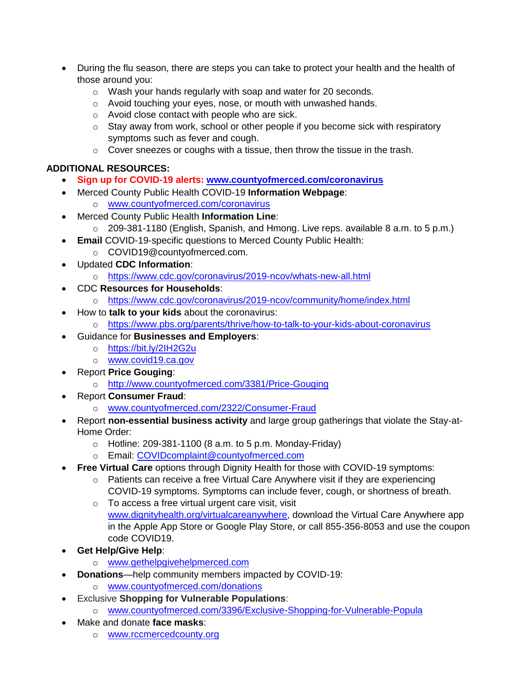- During the flu season, there are steps you can take to protect your health and the health of those around you:
	- o Wash your hands regularly with soap and water for 20 seconds.
	- o Avoid touching your eyes, nose, or mouth with unwashed hands.
	- o Avoid close contact with people who are sick.
	- o Stay away from work, school or other people if you become sick with respiratory symptoms such as fever and cough.
	- o Cover sneezes or coughs with a tissue, then throw the tissue in the trash.

## **ADDITIONAL RESOURCES:**

- **Sign up for COVID-19 alerts: [www.countyofmerced.com/coronavirus](http://www.countyofmerced.com/coronavirus)**
- Merced County Public Health COVID-19 **Information Webpage**:
	- o [www.countyofmerced.com/coronavirus](http://www.countyofmerced.com/coronavirus)
- Merced County Public Health **Information Line**:
	- $\circ$  209-381-1180 (English, Spanish, and Hmong. Live reps. available 8 a.m. to 5 p.m.)
- **Email COVID-19-specific questions to Merced County Public Health:** o COVID19@countyofmerced.com.
- Updated **CDC Information**:
	- o <https://www.cdc.gov/coronavirus/2019-ncov/whats-new-all.html>
- CDC **Resources for Households**:
	- o <https://www.cdc.gov/coronavirus/2019-ncov/community/home/index.html>
- How to **talk to your kids** about the coronavirus:
	- o <https://www.pbs.org/parents/thrive/how-to-talk-to-your-kids-about-coronavirus>
	- Guidance for **Businesses and Employers**:
		- o <https://bit.ly/2IH2G2u>
		- o [www.covid19.ca.gov](http://www.covid19.ca.gov/)
- Report **Price Gouging**:
	- o <http://www.countyofmerced.com/3381/Price-Gouging>
- Report **Consumer Fraud**:
	- o [www.countyofmerced.com/2322/Consumer-Fraud](http://www.countyofmerced.com/2322/Consumer-Fraud)
- Report **non-essential business activity** and large group gatherings that violate the Stay-at-Home Order:
	- $\circ$  Hotline: 209-381-1100 (8 a.m. to 5 p.m. Monday-Friday)
	- o Email: [COVIDcomplaint@countyofmerced.com](mailto:COVIDcomplaint@countyofmerced.com)
- **Free Virtual Care** options through Dignity Health for those with COVID-19 symptoms:
	- o Patients can receive a free Virtual Care Anywhere visit if they are experiencing COVID-19 symptoms. Symptoms can include fever, cough, or shortness of breath.
	- o To access a free virtual urgent care visit, visit [www.dignityhealth.org/virtualcareanywhere,](http://www.dignityhealth.org/virtualcareanywhere) download the Virtual Care Anywhere app in the Apple App Store or Google Play Store, or call 855-356-8053 and use the coupon code COVID19.
- **Get Help/Give Help**:
	- o [www.gethelpgivehelpmerced.com](http://www.gethelpgivehelpmerced.com/)
- **Donations**—help community members impacted by COVID-19:
	- o [www.countyofmerced.com/donations](http://www.countyofmerced.com/donations)
- Exclusive **Shopping for Vulnerable Populations**:
	- o [www.countyofmerced.com/3396/Exclusive-Shopping-for-Vulnerable-Popula](http://www.countyofmerced.com/3396/Exclusive-Shopping-for-Vulnerable-Popula)
- Make and donate **face masks**:
	- o [www.rccmercedcounty.org](http://www.rccmercedcounty.org/)